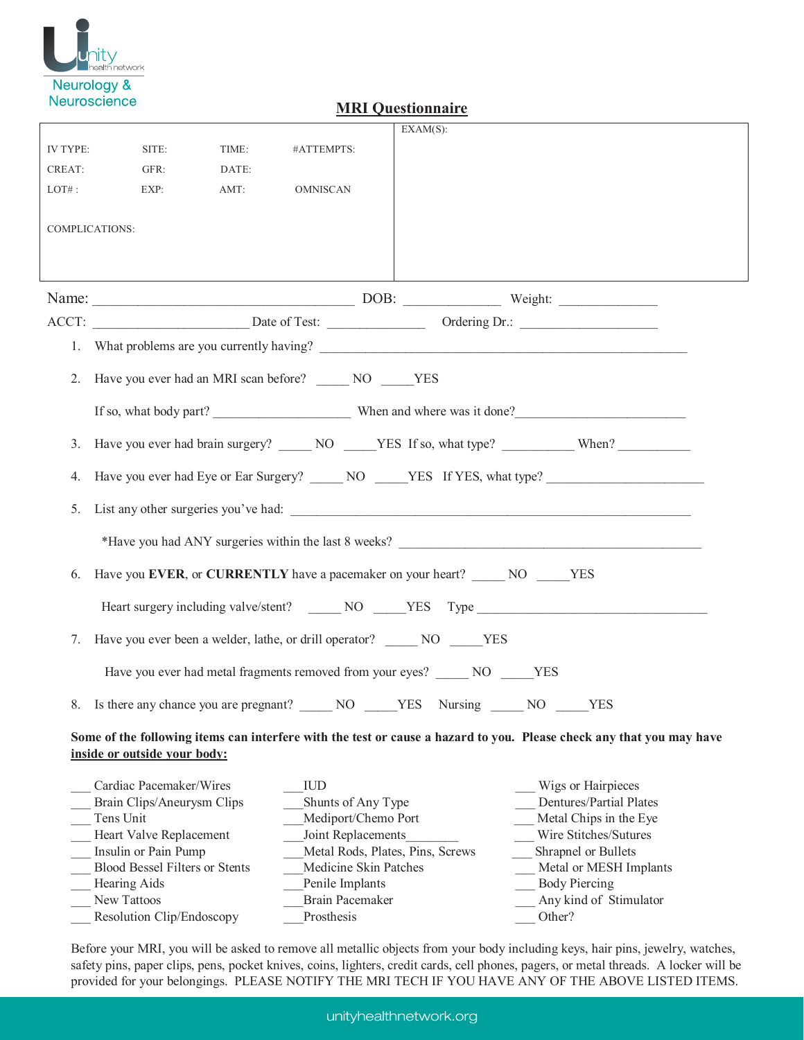

|          |                                                                                                      |                                                                            |                                                 | <b>Exploration Contration</b>                                    |                                                                                                                      |  |  |  |  |  |  |
|----------|------------------------------------------------------------------------------------------------------|----------------------------------------------------------------------------|-------------------------------------------------|------------------------------------------------------------------|----------------------------------------------------------------------------------------------------------------------|--|--|--|--|--|--|
|          |                                                                                                      |                                                                            |                                                 | $EXAMPLEXAM(S)$ :                                                |                                                                                                                      |  |  |  |  |  |  |
| IV TYPE: | SITE:                                                                                                | TIME:                                                                      | #ATTEMPTS:                                      |                                                                  |                                                                                                                      |  |  |  |  |  |  |
| CREAT:   | GFR:                                                                                                 | DATE:                                                                      |                                                 |                                                                  |                                                                                                                      |  |  |  |  |  |  |
| $LOT#$ : | EXP:<br>AMT:                                                                                         |                                                                            | <b>OMNISCAN</b>                                 |                                                                  |                                                                                                                      |  |  |  |  |  |  |
|          |                                                                                                      |                                                                            |                                                 |                                                                  |                                                                                                                      |  |  |  |  |  |  |
|          | COMPLICATIONS:                                                                                       |                                                                            |                                                 |                                                                  |                                                                                                                      |  |  |  |  |  |  |
|          |                                                                                                      |                                                                            |                                                 |                                                                  |                                                                                                                      |  |  |  |  |  |  |
|          |                                                                                                      |                                                                            |                                                 |                                                                  |                                                                                                                      |  |  |  |  |  |  |
|          |                                                                                                      |                                                                            |                                                 |                                                                  |                                                                                                                      |  |  |  |  |  |  |
|          |                                                                                                      |                                                                            |                                                 |                                                                  |                                                                                                                      |  |  |  |  |  |  |
|          |                                                                                                      |                                                                            |                                                 |                                                                  |                                                                                                                      |  |  |  |  |  |  |
|          |                                                                                                      |                                                                            | 2. Have you ever had an MRI scan before? NO NES |                                                                  |                                                                                                                      |  |  |  |  |  |  |
|          |                                                                                                      |                                                                            |                                                 |                                                                  |                                                                                                                      |  |  |  |  |  |  |
| 3.       |                                                                                                      |                                                                            |                                                 |                                                                  | Have you ever had brain surgery? ______ NO _____YES If so, what type? ____________ When?                             |  |  |  |  |  |  |
| 4.       | Have you ever had Eye or Ear Surgery? ______ NO _____YES If YES, what type? ________________________ |                                                                            |                                                 |                                                                  |                                                                                                                      |  |  |  |  |  |  |
| 5.       | List any other surgeries you've had:                                                                 |                                                                            |                                                 |                                                                  |                                                                                                                      |  |  |  |  |  |  |
|          |                                                                                                      |                                                                            |                                                 |                                                                  |                                                                                                                      |  |  |  |  |  |  |
| 6.       | Have you EVER, or CURRENTLY have a pacemaker on your heart? NO NO YES                                |                                                                            |                                                 |                                                                  |                                                                                                                      |  |  |  |  |  |  |
|          |                                                                                                      |                                                                            |                                                 |                                                                  |                                                                                                                      |  |  |  |  |  |  |
|          |                                                                                                      |                                                                            |                                                 |                                                                  |                                                                                                                      |  |  |  |  |  |  |
| 7.       |                                                                                                      | Have you ever been a welder, lathe, or drill operator? ______ NO _____ YES |                                                 |                                                                  |                                                                                                                      |  |  |  |  |  |  |
|          |                                                                                                      |                                                                            |                                                 | Have you ever had metal fragments removed from your eyes? NO YES |                                                                                                                      |  |  |  |  |  |  |
|          |                                                                                                      |                                                                            |                                                 | 8. Is there any chance you are pregnant? NO YES Nursing NO YES   |                                                                                                                      |  |  |  |  |  |  |
|          |                                                                                                      |                                                                            |                                                 |                                                                  | Some of the following items can interfere with the test or cause a hazard to you. Please check any that you may have |  |  |  |  |  |  |
|          | inside or outside your body:                                                                         |                                                                            |                                                 |                                                                  |                                                                                                                      |  |  |  |  |  |  |
|          | Cardiac Pacemaker/Wires                                                                              |                                                                            | IUD                                             |                                                                  | Wigs or Hairpieces                                                                                                   |  |  |  |  |  |  |
|          | Brain Clips/Aneurysm Clips                                                                           |                                                                            | Shunts of Any Type                              |                                                                  | Dentures/Partial Plates                                                                                              |  |  |  |  |  |  |
|          | Tens Unit                                                                                            |                                                                            | Mediport/Chemo Port                             |                                                                  | Metal Chips in the Eye                                                                                               |  |  |  |  |  |  |
|          | Heart Valve Replacement                                                                              |                                                                            | Joint Replacements                              |                                                                  | Wire Stitches/Sutures                                                                                                |  |  |  |  |  |  |

## **MRI Questionnaire**

unityhealthnetwork.org

\_\_\_ Insulin or Pain Pump \_\_\_Metal Rods, Plates, Pins, Screws \_\_\_ Shrapnel or Bullets

Learing Aids **Example 1** Penile Implants **Example 1** Body Piercing

Resolution Clip/Endoscopy Prosthesis Cher?

\_\_\_ Blood Bessel Filters or Stents \_\_\_Medicine Skin Patches \_\_\_ Metal or MESH Implants

New Tattoos **Example 2.1** Brain Pacemaker **Example 2.1** Any kind of Stimulator

Before your MRI, you will be asked to remove all metallic objects from your body including keys, hair pins, jewelry, watches, safety pins, paper clips, pens, pocket knives, coins, lighters, credit cards, cell phones, pagers, or metal threads. A locker will be provided for your belongings. PLEASE NOTIFY THE MRI TECH IF YOU HAVE ANY OF THE ABOVE LISTED ITEMS.